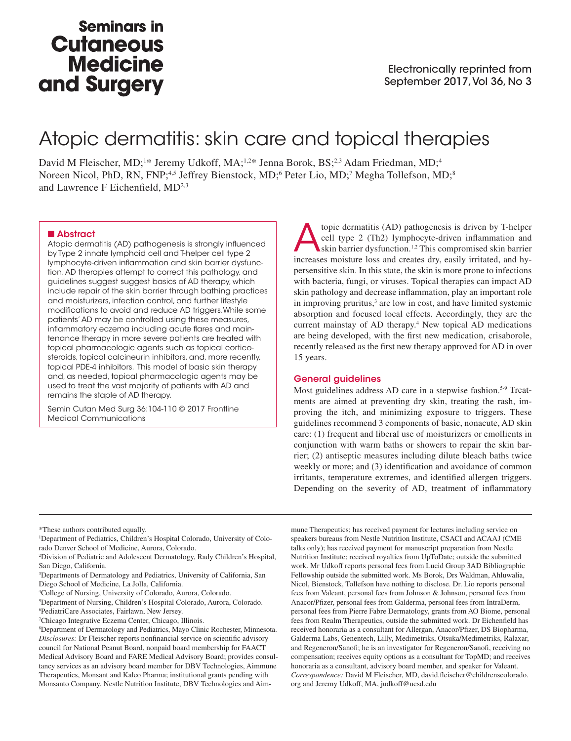## **Seminars in Cutaneous Medicine** and Surgery

# Atopic dermatitis: skin care and topical therapies

David M Fleischer, MD;<sup>1\*</sup> Jeremy Udkoff, MA;<sup>1,2\*</sup> Jenna Borok, BS;<sup>2,3</sup> Adam Friedman, MD;<sup>4</sup> Noreen Nicol, PhD, RN, FNP;<sup>4,5</sup> Jeffrey Bienstock, MD;<sup>6</sup> Peter Lio, MD;<sup>7</sup> Megha Tollefson, MD;<sup>8</sup> and Lawrence F Eichenfield, MD<sup>2,3</sup>

#### ■ Abstract

Atopic dermatitis (AD) pathogenesis is strongly influenced by Type 2 innate lymphoid cell and T-helper cell type 2 lymphocyte-driven inflammation and skin barrier dysfunction. AD therapies attempt to correct this pathology, and guidelines suggest suggest basics of AD therapy, which include repair of the skin barrier through bathing practices and moisturizers, infection control, and further lifestyle modifications to avoid and reduce AD triggers.While some patients' AD may be controlled using these measures, inflammatory eczema including acute flares and maintenance therapy in more severe patients are treated with topical pharmacologic agents such as topical corticosteroids, topical calcineurin inhibitors, and, more recently, topical PDE-4 inhibitors. This model of basic skin therapy and, as needed, topical pharmacologic agents may be used to treat the vast majority of patients with AD and remains the staple of AD therapy.

Semin Cutan Med Surg 36:104-110 © 2017 Frontline Medical Communications

Atopic dermatitis (AD) pathogenesis is driven by T-helper cell type 2 (Th2) lymphocyte-driven inflammation and skin barrier dysfunction.<sup>1,2</sup> This compromised skin barrier increases moisture loss and creates dry easily irr cell type 2 (Th2) lymphocyte-driven inflammation and increases moisture loss and creates dry, easily irritated, and hypersensitive skin. In this state, the skin is more prone to infections with bacteria, fungi, or viruses. Topical therapies can impact AD skin pathology and decrease inflammation, play an important role in improving pruritus,<sup>3</sup> are low in cost, and have limited systemic absorption and focused local effects. Accordingly, they are the current mainstay of AD therapy.<sup>4</sup> New topical AD medications are being developed, with the first new medication, crisaborole, recently released as the first new therapy approved for AD in over 15 years.

#### General guidelines

Most guidelines address AD care in a stepwise fashion.<sup>5-9</sup> Treatments are aimed at preventing dry skin, treating the rash, improving the itch, and minimizing exposure to triggers. These guidelines recommend 3 components of basic, nonacute, AD skin care: (1) frequent and liberal use of moisturizers or emollients in conjunction with warm baths or showers to repair the skin barrier; (2) antiseptic measures including dilute bleach baths twice weekly or more; and (3) identification and avoidance of common irritants, temperature extremes, and identified allergen triggers. Depending on the severity of AD, treatment of inflammatory

\*These authors contributed equally.

<sup>1</sup>Department of Pediatrics, Children's Hospital Colorado, University of Colorado Denver School of Medicine, Aurora, Colorado.

3 Departments of Dermatology and Pediatrics, University of California, San Diego School of Medicine, La Jolla, California.

5 Department of Nursing, Children's Hospital Colorado, Aurora, Colorado. 6 PediatriCare Associates, Fairlawn, New Jersey.

mune Therapeutics; has received payment for lectures including service on speakers bureaus from Nestle Nutrition Institute, CSACI and ACAAJ (CME talks only); has received payment for manuscript preparation from Nestle Nutrition Institute; received royalties from UpToDate; outside the submitted work. Mr Udkoff reports personal fees from Lucid Group 3AD Bibliographic Fellowship outside the submitted work. Ms Borok, Drs Waldman, Ahluwalia, Nicol, Bienstock, Tollefson have nothing to disclose. Dr. Lio reports personal fees from Valeant, personal fees from Johnson & Johnson, personal fees from Anacor/Pfizer, personal fees from Galderma, personal fees from IntraDerm, personal fees from Pierre Fabre Dermatology, grants from AO Biome, personal fees from Realm Therapeutics, outside the submitted work. Dr Eichenfield has received honoraria as a consultant for Allergan, Anacor/Pfizer, DS Biopharma, Galderma Labs, Genentech, Lilly, Medimetriks, Otsuka/Medimetriks, Ralaxar, and Regeneron/Sanofi; he is an investigator for Regeneron/Sanofi, receiving no compensation; receives equity options as a consultant for TopMD; and receives honoraria as a consultant, advisory board member, and speaker for Valeant. *Correspondence:* David M Fleischer, MD, david.fleischer@childrenscolorado. org and Jeremy Udkoff, MA, judkoff@ucsd.edu

<sup>2</sup> Division of Pediatric and Adolescent Dermatology, Rady Children's Hospital, San Diego, California.

<sup>4</sup> College of Nursing, University of Colorado, Aurora, Colorado.

<sup>7</sup> Chicago Integrative Eczema Center, Chicago, Illinois.

<sup>8</sup> Department of Dermatology and Pediatrics, Mayo Clinic Rochester, Minnesota. *Disclosures:* Dr Fleischer reports nonfinancial service on scientific advisory council for National Peanut Board, nonpaid board membership for FAACT Medical Advisory Board and FARE Medical Advisory Board; provides consultancy services as an advisory board member for DBV Technologies, Aimmune Therapeutics, Monsant and Kaleo Pharma; institutional grants pending with Monsanto Company, Nestle Nutrition Institute, DBV Technologies and Aim-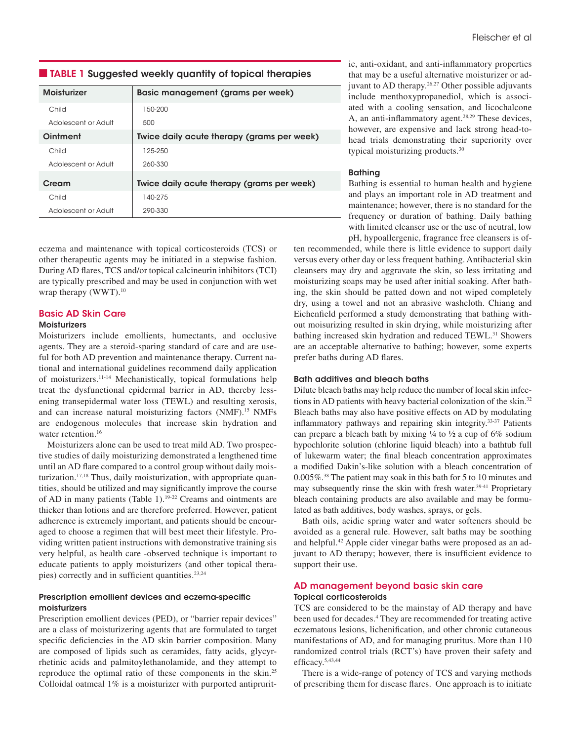#### ■ TABLE 1 Suggested weekly quantity of topical therapies

| Moisturizer         | Basic management (grams per week)          |
|---------------------|--------------------------------------------|
| Child               | 150-200                                    |
| Adolescent or Adult | 500                                        |
| Ointment            | Twice daily acute therapy (grams per week) |
| Child               | 125-250                                    |
| Adolescent or Adult | 260-330                                    |
| Cream               | Twice daily acute therapy (grams per week) |
| Child               | 140-275                                    |
| Adolescent or Adult | 290-330                                    |

eczema and maintenance with topical corticosteroids (TCS) or other therapeutic agents may be initiated in a stepwise fashion. During AD flares, TCS and/or topical calcineurin inhibitors (TCI) are typically prescribed and may be used in conjunction with wet wrap therapy (WWT).<sup>10</sup>

## Basic AD Skin Care

## **Moisturizers**

Moisturizers include emollients, humectants, and occlusive agents. They are a steroid-sparing standard of care and are useful for both AD prevention and maintenance therapy. Current national and international guidelines recommend daily application of moisturizers.11-14 Mechanistically, topical formulations help treat the dysfunctional epidermal barrier in AD, thereby lessening transepidermal water loss (TEWL) and resulting xerosis, and can increase natural moisturizing factors (NMF).<sup>15</sup> NMFs are endogenous molecules that increase skin hydration and water retention.<sup>16</sup>

Moisturizers alone can be used to treat mild AD. Two prospective studies of daily moisturizing demonstrated a lengthened time until an AD flare compared to a control group without daily moisturization.<sup>17,18</sup> Thus, daily moisturization, with appropriate quantities, should be utilized and may significantly improve the course of AD in many patients (Table 1).19-22 Creams and ointments are thicker than lotions and are therefore preferred. However, patient adherence is extremely important, and patients should be encouraged to choose a regimen that will best meet their lifestyle. Providing written patient instructions with demonstrative training sis very helpful, as health care -observed technique is important to educate patients to apply moisturizers (and other topical therapies) correctly and in sufficient quantities.23,24

#### Prescription emollient devices and eczema-specific moisturizers

Prescription emollient devices (PED), or "barrier repair devices" are a class of moisturizering agents that are formulated to target specific deficiencies in the AD skin barrier composition. Many are composed of lipids such as ceramides, fatty acids, glycyrrhetinic acids and palmitoylethanolamide, and they attempt to reproduce the optimal ratio of these components in the skin.25 Colloidal oatmeal 1% is a moisturizer with purported antipruritic, anti-oxidant, and anti-inflammatory properties that may be a useful alternative moisturizer or adjuvant to AD therapy.26,27 Other possible adjuvants include menthoxypropanediol, which is associated with a cooling sensation, and licochalcone A, an anti-inflammatory agent.<sup>28,29</sup> These devices, however, are expensive and lack strong head-tohead trials demonstrating their superiority over typical moisturizing products.30

## Bathing

Bathing is essential to human health and hygiene and plays an important role in AD treatment and maintenance; however, there is no standard for the frequency or duration of bathing. Daily bathing with limited cleanser use or the use of neutral, low pH, hypoallergenic, fragrance free cleansers is of-

ten recommended, while there is little evidence to support daily versus every other day or less frequent bathing. Antibacterial skin cleansers may dry and aggravate the skin, so less irritating and moisturizing soaps may be used after initial soaking. After bathing, the skin should be patted down and not wiped completely dry, using a towel and not an abrasive washcloth. Chiang and Eichenfield performed a study demonstrating that bathing without moisurizing resulted in skin drying, while moisturizing after bathing increased skin hydration and reduced TEWL.<sup>31</sup> Showers are an acceptable alternative to bathing; however, some experts prefer baths during AD flares.

## Bath additives and bleach baths

Dilute bleach baths may help reduce the number of local skin infections in AD patients with heavy bacterial colonization of the skin.32 Bleach baths may also have positive effects on AD by modulating inflammatory pathways and repairing skin integrity.33-37 Patients can prepare a bleach bath by mixing  $\frac{1}{4}$  to  $\frac{1}{2}$  a cup of 6% sodium hypochlorite solution (chlorine liquid bleach) into a bathtub full of lukewarm water; the final bleach concentration approximates a modified Dakin's-like solution with a bleach concentration of 0.005%.38 The patient may soak in this bath for 5 to 10 minutes and may subsequently rinse the skin with fresh water.<sup>39-41</sup> Proprietary bleach containing products are also available and may be formulated as bath additives, body washes, sprays, or gels.

Bath oils, acidic spring water and water softeners should be avoided as a general rule. However, salt baths may be soothing and helpful.42 Apple cider vinegar baths were proposed as an adjuvant to AD therapy; however, there is insufficient evidence to support their use.

## AD management beyond basic skin care Topical corticosteroids

TCS are considered to be the mainstay of AD therapy and have been used for decades.<sup>4</sup> They are recommended for treating active eczematous lesions, lichenification, and other chronic cutaneous manifestations of AD, and for managing pruritus. More than 110 randomized control trials (RCT's) have proven their safety and efficacy.5,43,44

There is a wide-range of potency of TCS and varying methods of prescribing them for disease flares. One approach is to initiate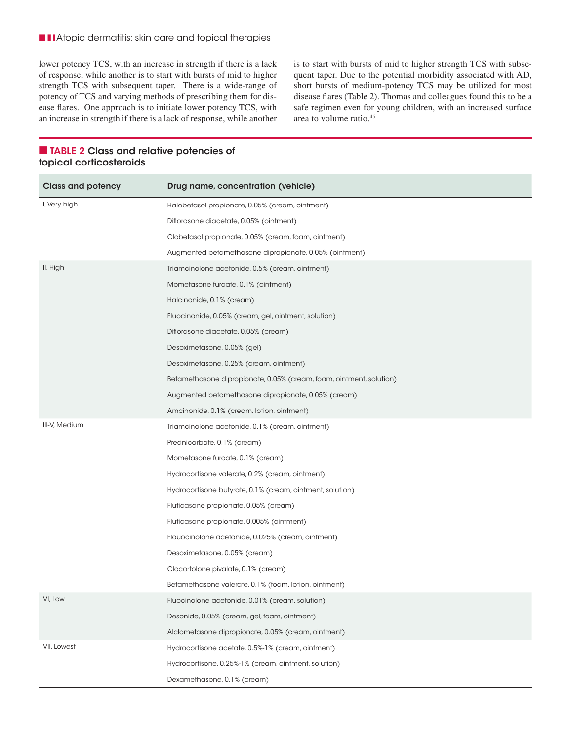■ ■ ■ Atopic dermatitis: skin care and topical therapies

lower potency TCS, with an increase in strength if there is a lack of response, while another is to start with bursts of mid to higher strength TCS with subsequent taper. There is a wide-range of potency of TCS and varying methods of prescribing them for disease flares. One approach is to initiate lower potency TCS, with an increase in strength if there is a lack of response, while another is to start with bursts of mid to higher strength TCS with subsequent taper. Due to the potential morbidity associated with AD, short bursts of medium-potency TCS may be utilized for most disease flares (Table 2). Thomas and colleagues found this to be a safe regimen even for young children, with an increased surface area to volume ratio.45

| <b>Class and potency</b> | Drug name, concentration (vehicle)                                  |
|--------------------------|---------------------------------------------------------------------|
| I, Very high             | Halobetasol propionate, 0.05% (cream, ointment)                     |
|                          | Diflorasone diacetate, 0.05% (ointment)                             |
|                          | Clobetasol propionate, 0.05% (cream, foam, ointment)                |
|                          | Augmented betamethasone dipropionate, 0.05% (ointment)              |
| II, High                 | Triamcinolone acetonide, 0.5% (cream, ointment)                     |
|                          | Mometasone furoate, 0.1% (ointment)                                 |
|                          | Halcinonide, 0.1% (cream)                                           |
|                          | Fluocinonide, 0.05% (cream, gel, ointment, solution)                |
|                          | Diflorasone diacetate, 0.05% (cream)                                |
|                          | Desoximetasone, 0.05% (gel)                                         |
|                          | Desoximetasone, 0.25% (cream, ointment)                             |
|                          | Betamethasone dipropionate, 0.05% (cream, foam, ointment, solution) |
|                          | Augmented betamethasone dipropionate, 0.05% (cream)                 |
|                          | Amcinonide, 0.1% (cream, lotion, ointment)                          |
| III-V, Medium            | Triamcinolone acetonide, 0.1% (cream, ointment)                     |
|                          | Prednicarbate, 0.1% (cream)                                         |
|                          | Mometasone furoate, 0.1% (cream)                                    |
|                          | Hydrocortisone valerate, 0.2% (cream, ointment)                     |
|                          | Hydrocortisone butyrate, 0.1% (cream, ointment, solution)           |
|                          | Fluticasone propionate, 0.05% (cream)                               |
|                          | Fluticasone propionate, 0.005% (ointment)                           |
|                          | Flouocinolone acetonide, 0.025% (cream, ointment)                   |
|                          | Desoximetasone, 0.05% (cream)                                       |
|                          | Clocortolone pivalate, 0.1% (cream)                                 |
|                          | Betamethasone valerate, 0.1% (foam, lotion, ointment)               |
| VI, Low                  | Fluocinolone acetonide, 0.01% (cream, solution)                     |
|                          | Desonide, 0.05% (cream, gel, foam, ointment)                        |
|                          | Alclometasone dipropionate, 0.05% (cream, ointment)                 |
| VII, Lowest              | Hydrocortisone acetate, 0.5%-1% (cream, ointment)                   |
|                          | Hydrocortisone, 0.25%-1% (cream, ointment, solution)                |
|                          | Dexamethasone, 0.1% (cream)                                         |

## ■ TABLE 2 Class and relative potencies of topical corticosteroids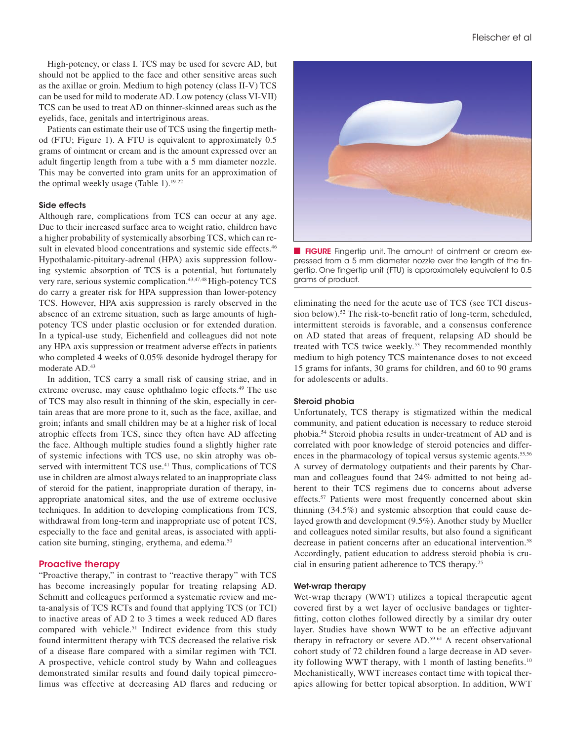High-potency, or class I. TCS may be used for severe AD, but should not be applied to the face and other sensitive areas such as the axillae or groin. Medium to high potency (class II-V) TCS can be used for mild to moderate AD. Low potency (class VI-VII) TCS can be used to treat AD on thinner-skinned areas such as the eyelids, face, genitals and intertriginous areas.

Patients can estimate their use of TCS using the fingertip method (FTU; Figure 1). A FTU is equivalent to approximately 0.5 grams of ointment or cream and is the amount expressed over an adult fingertip length from a tube with a 5 mm diameter nozzle. This may be converted into gram units for an approximation of the optimal weekly usage (Table 1).19-22

#### Side effects

Although rare, complications from TCS can occur at any age. Due to their increased surface area to weight ratio, children have a higher probability of systemically absorbing TCS, which can result in elevated blood concentrations and systemic side effects.<sup>46</sup> Hypothalamic-pituitary-adrenal (HPA) axis suppression following systemic absorption of TCS is a potential, but fortunately very rare, serious systemic complication.43,47,48 High-potency TCS do carry a greater risk for HPA suppression than lower-potency TCS. However, HPA axis suppression is rarely observed in the absence of an extreme situation, such as large amounts of highpotency TCS under plastic occlusion or for extended duration. In a typical-use study, Eichenfield and colleagues did not note any HPA axis suppression or treatment adverse effects in patients who completed 4 weeks of 0.05% desonide hydrogel therapy for moderate AD.<sup>43</sup>

In addition, TCS carry a small risk of causing striae, and in extreme overuse, may cause ophthalmo logic effects.<sup>49</sup> The use of TCS may also result in thinning of the skin, especially in certain areas that are more prone to it, such as the face, axillae, and groin; infants and small children may be at a higher risk of local atrophic effects from TCS, since they often have AD affecting the face. Although multiple studies found a slightly higher rate of systemic infections with TCS use, no skin atrophy was observed with intermittent TCS use.<sup>41</sup> Thus, complications of TCS use in children are almost always related to an inappropriate class of steroid for the patient, inappropriate duration of therapy, inappropriate anatomical sites, and the use of extreme occlusive techniques. In addition to developing complications from TCS, withdrawal from long-term and inappropriate use of potent TCS, especially to the face and genital areas, is associated with application site burning, stinging, erythema, and edema.<sup>50</sup>

## Proactive therapy

"Proactive therapy," in contrast to "reactive therapy" with TCS has become increasingly popular for treating relapsing AD. Schmitt and colleagues performed a systematic review and meta-analysis of TCS RCTs and found that applying TCS (or TCI) to inactive areas of AD 2 to 3 times a week reduced AD flares compared with vehicle.51 Indirect evidence from this study found intermittent therapy with TCS decreased the relative risk of a disease flare compared with a similar regimen with TCI. A prospective, vehicle control study by Wahn and colleagues demonstrated similar results and found daily topical pimecrolimus was effective at decreasing AD flares and reducing or



**FIGURE** Fingertip unit. The amount of ointment or cream expressed from a 5 mm diameter nozzle over the length of the fingertip. One fingertip unit (FTU) is approximately equivalent to 0.5 grams of product.

eliminating the need for the acute use of TCS (see TCI discussion below).<sup>52</sup> The risk-to-benefit ratio of long-term, scheduled, intermittent steroids is favorable, and a consensus conference on AD stated that areas of frequent, relapsing AD should be treated with TCS twice weekly.<sup>53</sup> They recommended monthly medium to high potency TCS maintenance doses to not exceed 15 grams for infants, 30 grams for children, and 60 to 90 grams for adolescents or adults.

#### Steroid phobia

Unfortunately, TCS therapy is stigmatized within the medical community, and patient education is necessary to reduce steroid phobia.54 Steroid phobia results in under-treatment of AD and is correlated with poor knowledge of steroid potencies and differences in the pharmacology of topical versus systemic agents.<sup>55,56</sup> A survey of dermatology outpatients and their parents by Charman and colleagues found that 24% admitted to not being adherent to their TCS regimens due to concerns about adverse effects.<sup>57</sup> Patients were most frequently concerned about skin thinning (34.5%) and systemic absorption that could cause delayed growth and development (9.5%). Another study by Mueller and colleagues noted similar results, but also found a significant decrease in patient concerns after an educational intervention.<sup>58</sup> Accordingly, patient education to address steroid phobia is crucial in ensuring patient adherence to TCS therapy.25

#### Wet-wrap therapy

Wet-wrap therapy (WWT) utilizes a topical therapeutic agent covered first by a wet layer of occlusive bandages or tighterfitting, cotton clothes followed directly by a similar dry outer layer. Studies have shown WWT to be an effective adjuvant therapy in refractory or severe AD.59-61 A recent observational cohort study of 72 children found a large decrease in AD severity following WWT therapy, with 1 month of lasting benefits.<sup>10</sup> Mechanistically, WWT increases contact time with topical therapies allowing for better topical absorption. In addition, WWT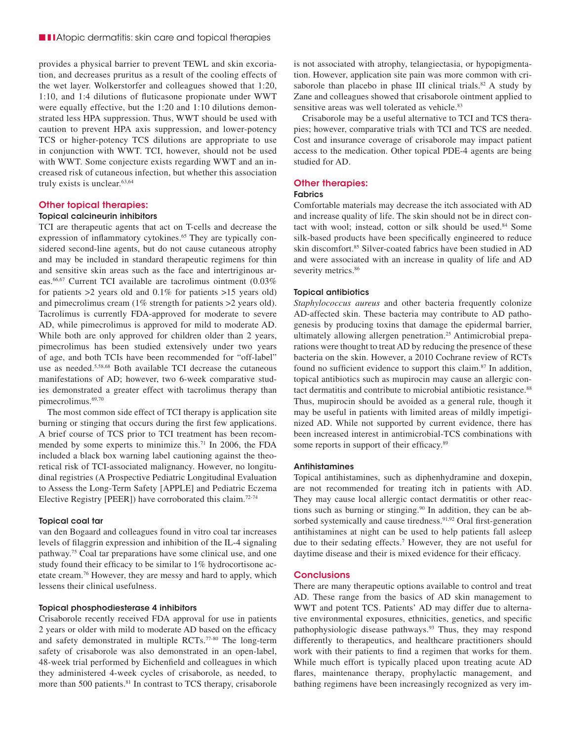■ ■ ■ Atopic dermatitis: skin care and topical therapies

provides a physical barrier to prevent TEWL and skin excoriation, and decreases pruritus as a result of the cooling effects of the wet layer. Wolkerstorfer and colleagues showed that 1:20, 1:10, and 1:4 dilutions of fluticasone propionate under WWT were equally effective, but the 1:20 and 1:10 dilutions demonstrated less HPA suppression. Thus, WWT should be used with caution to prevent HPA axis suppression, and lower-potency TCS or higher-potency TCS dilutions are appropriate to use in conjunction with WWT. TCI, however, should not be used with WWT. Some conjecture exists regarding WWT and an increased risk of cutaneous infection, but whether this association truly exists is unclear.63,64

#### Other topical therapies:

#### Topical calcineurin inhibitors

TCI are therapeutic agents that act on T-cells and decrease the expression of inflammatory cytokines.<sup>65</sup> They are typically considered second-line agents, but do not cause cutaneous atrophy and may be included in standard therapeutic regimens for thin and sensitive skin areas such as the face and intertriginous areas.66,67 Current TCI available are tacrolimus ointment (0.03% for patients >2 years old and 0.1% for patients >15 years old) and pimecrolimus cream (1% strength for patients >2 years old). Tacrolimus is currently FDA-approved for moderate to severe AD, while pimecrolimus is approved for mild to moderate AD. While both are only approved for children older than 2 years, pimecrolimus has been studied extensively under two years of age, and both TCIs have been recommended for "off-label" use as needed.5,58,68 Both available TCI decrease the cutaneous manifestations of AD; however, two 6-week comparative studies demonstrated a greater effect with tacrolimus therapy than pimecrolimus.<sup>69,70</sup>

The most common side effect of TCI therapy is application site burning or stinging that occurs during the first few applications. A brief course of TCS prior to TCI treatment has been recommended by some experts to minimize this.71 In 2006, the FDA included a black box warning label cautioning against the theoretical risk of TCI-associated malignancy. However, no longitudinal registries (A Prospective Pediatric Longitudinal Evaluation to Assess the Long-Term Safety [APPLE] and Pediatric Eczema Elective Registry [PEER]) have corroborated this claim.72-74

#### Topical coal tar

van den Bogaard and colleagues found in vitro coal tar increases levels of filaggrin expression and inhibition of the IL-4 signaling pathway.75 Coal tar preparations have some clinical use, and one study found their efficacy to be similar to 1% hydrocortisone acetate cream.76 However, they are messy and hard to apply, which lessens their clinical usefulness.

#### Topical phosphodiesterase 4 inhibitors

Crisaborole recently received FDA approval for use in patients 2 years or older with mild to moderate AD based on the efficacy and safety demonstrated in multiple RCTs.77-80 The long-term safety of crisaborole was also demonstrated in an open-label, 48-week trial performed by Eichenfield and colleagues in which they administered 4-week cycles of crisaborole, as needed, to more than 500 patients.<sup>81</sup> In contrast to TCS therapy, crisaborole

is not associated with atrophy, telangiectasia, or hypopigmentation. However, application site pain was more common with crisaborole than placebo in phase III clinical trials.<sup>82</sup> A study by Zane and colleagues showed that crisaborole ointment applied to sensitive areas was well tolerated as vehicle.<sup>83</sup>

Crisaborole may be a useful alternative to TCI and TCS therapies; however, comparative trials with TCI and TCS are needed. Cost and insurance coverage of crisaborole may impact patient access to the medication. Other topical PDE-4 agents are being studied for AD.

#### Other therapies:

## Fabrics

Comfortable materials may decrease the itch associated with AD and increase quality of life. The skin should not be in direct contact with wool; instead, cotton or silk should be used.<sup>84</sup> Some silk-based products have been specifically engineered to reduce skin discomfort.85 Silver-coated fabrics have been studied in AD and were associated with an increase in quality of life and AD severity metrics.<sup>86</sup>

#### Topical antibiotics

*Staphylococcus aureus* and other bacteria frequently colonize AD-affected skin. These bacteria may contribute to AD pathogenesis by producing toxins that damage the epidermal barrier, ultimately allowing allergen penetration.<sup>25</sup> Antimicrobial preparations were thought to treat AD by reducing the presence of these bacteria on the skin. However, a 2010 Cochrane review of RCTs found no sufficient evidence to support this claim.<sup>87</sup> In addition, topical antibiotics such as mupirocin may cause an allergic contact dermatitis and contribute to microbial antibiotic resistance.<sup>88</sup> Thus, mupirocin should be avoided as a general rule, though it may be useful in patients with limited areas of mildly impetiginized AD. While not supported by current evidence, there has been increased interest in antimicrobial-TCS combinations with some reports in support of their efficacy.<sup>89</sup>

#### Antihistamines

Topical antihistamines, such as diphenhydramine and doxepin, are not recommended for treating itch in patients with AD. They may cause local allergic contact dermatitis or other reactions such as burning or stinging.90 In addition, they can be absorbed systemically and cause tiredness.<sup>91,92</sup> Oral first-generation antihistamines at night can be used to help patients fall asleep due to their sedating effects.7 However, they are not useful for daytime disease and their is mixed evidence for their efficacy.

#### **Conclusions**

There are many therapeutic options available to control and treat AD. These range from the basics of AD skin management to WWT and potent TCS. Patients' AD may differ due to alternative environmental exposures, ethnicities, genetics, and specific pathophysiologic disease pathways.<sup>93</sup> Thus, they may respond differently to therapeutics, and healthcare practitioners should work with their patients to find a regimen that works for them. While much effort is typically placed upon treating acute AD flares, maintenance therapy, prophylactic management, and bathing regimens have been increasingly recognized as very im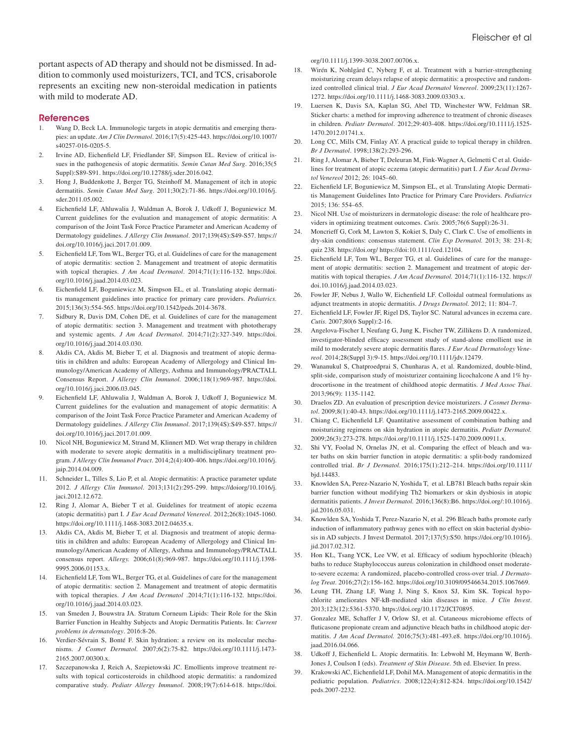portant aspects of AD therapy and should not be dismissed. In addition to commonly used moisturizers, TCI, and TCS, crisaborole represents an exciting new non-steroidal medication in patients with mild to moderate AD.

#### References

- Wang D, Beck LA. Immunologic targets in atopic dermatitis and emerging therapies: an update. *Am J Clin Dermatol*. 2016;17(5):425-443. https://doi.org/10.1007/ s40257-016-0205-5.
- 2. Irvine AD, Eichenfield LF, Friedlander SF, Simpson EL. Review of critical issues in the pathogenesis of atopic dermatitis. *Semin Cutan Med Surg*. 2016;35(5 Suppl):S89-S91. https://doi.org/10.12788/j.sder.2016.042.
- 3. Hong J, Buddenkotte J, Berger TG, Steinhoff M. Management of itch in atopic dermatitis. *Semin Cutan Med Surg*. 2011;30(2):71-86. https://doi.org/10.1016/j. sder.2011.05.002.
- 4. Eichenfield LF, Ahluwalia J, Waldman A, Borok J, Udkoff J, Boguniewicz M. Current guidelines for the evaluation and management of atopic dermatitis: A comparison of the Joint Task Force Practice Parameter and American Academy of Dermatology guidelines. *J Allergy Clin Immunol*. 2017;139(4S):S49-S57. https:// doi.org/10.1016/j.jaci.2017.01.009.
- 5. Eichenfield LF, Tom WL, Berger TG, et al. Guidelines of care for the management of atopic dermatitis: section 2. Management and treatment of atopic dermatitis with topical therapies. *J Am Acad Dermatol*. 2014;71(1):116-132. https://doi. org/10.1016/j.jaad.2014.03.023.
- Eichenfield LF, Boguniewicz M, Simpson EL, et al. Translating atopic dermatitis management guidelines into practice for primary care providers. *Pediatrics.* 2015;136(3):554-565. https://doi.org/10.1542/peds.2014-3678.
- 7. Sidbury R, Davis DM, Cohen DE, et al. Guidelines of care for the management of atopic dermatitis: section 3. Management and treatment with phototherapy and systemic agents. *J Am Acad Dermatol*. 2014;71(2):327-349. https://doi. org/10.1016/j.jaad.2014.03.030.
- Akdis CA, Akdis M, Bieber T, et al. Diagnosis and treatment of atopic dermatitis in children and adults: European Academy of Allergology and Clinical Immunology/American Academy of Allergy, Asthma and Immunology/PRACTALL Consensus Report. *J Allergy Clin Immunol.* 2006;118(1):969-987. https://doi. org/10.1016/j.jaci.2006.03.045.
- 9. Eichenfield LF, Ahluwalia J, Waldman A, Borok J, Udkoff J, Boguniewicz M. Current guidelines for the evaluation and management of atopic dermatitis: A comparison of the Joint Task Force Practice Parameter and American Academy of Dermatology guidelines. *J Allergy Clin Immunol*. 2017;139(4S):S49-S57. https:// doi.org/10.1016/j.jaci.2017.01.009.
- 10. Nicol NH, Boguniewicz M, Strand M, Klinnert MD. Wet wrap therapy in children with moderate to severe atopic dermatitis in a multidisciplinary treatment program. *J Allergy Clin Immunol Pract*. 2014;2(4):400-406. https://doi.org/10.1016/j. jaip.2014.04.009.
- 11. Schneider L, Tilles S, Lio P, et al. Atopic dermatitis: A practice parameter update 2012. *J Allergy Clin Immunol*. 2013;131(2):295-299. https://doiorg/10.1016/j. jaci.2012.12.672.
- 12. Ring J, Alomar A, Bieber T et al. Guidelines for treatment of atopic eczema (atopic dermatitis) part I. *J Eur Acad Dermatol Venereol*. 2012;26(8):1045-1060. https://doi.org/10.1111/j.1468-3083.2012.04635.x.
- 13. Akdis CA, Akdis M, Bieber T, et al. Diagnosis and treatment of atopic dermatitis in children and adults: European Academy of Allergology and Clinical Immunology/American Academy of Allergy, Asthma and Immunology/PRACTALL consensus report. *Allergy.* 2006;61(8):969-987. https://doi.org/10.1111/j.1398- 9995.2006.01153.x.
- 14. Eichenfield LF, Tom WL, Berger TG, et al. Guidelines of care for the management of atopic dermatitis: section 2. Management and treatment of atopic dermatitis with topical therapies. *J Am Acad Dermatol* .2014;71(1):116-132. https://doi. org/10.1016/j.jaad.2014.03.023.
- 15. van Smeden J, Bouwstra JA. Stratum Corneum Lipids: Their Role for the Skin Barrier Function in Healthy Subjects and Atopic Dermatitis Patients. In: *Current problems in dermatology*. 2016:8-26.
- 16. Verdier-Sévrain S, Bonté F. Skin hydration: a review on its molecular mechanisms. *J Cosmet Dermatol.* 2007;6(2):75-82. https://doi.org/10.1111/j.1473- 2165.2007.00300.x.
- 17. Szczepanowska J, Reich A, Szepietowski JC. Emollients improve treatment results with topical corticosteroids in childhood atopic dermatitis: a randomized comparative study. *Pediatr Allergy Immunol*. 2008;19(7):614-618. https://doi.

org/10.1111/j.1399-3038.2007.00706.x.

- 18. Wirén K, Nohlgård C, Nyberg F, et al. Treatment with a barrier-strengthening moisturizing cream delays relapse of atopic dermatitis: a prospective and randomized controlled clinical trial. *J Eur Acad Dermatol Venereol*. 2009;23(11):1267- 1272. https://doi.org/10.1111/j.1468-3083.2009.03303.x.
- 19. Luersen K, Davis SA, Kaplan SG, Abel TD, Winchester WW, Feldman SR. Sticker charts: a method for improving adherence to treatment of chronic diseases in children. *Pediatr Dermatol*. 2012;29:403-408. https://doi.org/10.1111/j.1525- 1470.2012.01741.x.
- 20. Long CC, Mills CM, Finlay AY. A practical guide to topical therapy in children. *Br J Dermatol*. 1998;138(2):293-296.
- 21. Ring J, Alomar A, Bieber T, Deleuran M, Fink-Wagner A, Gelmetti C et al. Guidelines for treatment of atopic eczema (atopic dermatitis) part I. *J Eur Acad Dermatol Venereol* 2012; 26: 1045–60.
- 22. Eichenfield LF, Boguniewicz M, Simpson EL, et al. Translating Atopic Dermatitis Management Guidelines Into Practice for Primary Care Providers. *Pediatrics* 2015; 136: 554–65.
- 23. Nicol NH. Use of moisturizers in dermatologic disease: the role of healthcare providers in optimizing treatment outcomes. *Cutis.* 2005;76(6 Suppl):26-31.
- 24. Moncrieff G, Cork M, Lawton S, Kokiet S, Daly C, Clark C. Use of emollients in dry-skin conditions: consensus statement. *Clin Exp Dermatol.* 2013; 38: 231-8; quiz 238. https://doi.org/ https://doi:10.1111/ced.12104.
- 25. Eichenfield LF, Tom WL, Berger TG, et al. Guidelines of care for the management of atopic dermatitis: section 2. Management and treatment of atopic dermatitis with topical therapies. *J Am Acad Dermatol.* 2014;71(1):116-132. https:// doi.10.1016/j.jaad.2014.03.023.
- 26. Fowler JF, Nebus J, Wallo W, Eichenfield LF. Colloidal oatmeal formulations as adjunct treatments in atopic dermatitis. *J Drugs Dermatol.* 2012; 11: 804–7.
- 27. Eichenfield LF, Fowler JF, Rigel DS, Taylor SC. Natural advances in eczema care. *Cutis.* 2007;80(6 Suppl):2-16.
- 28. Angelova-Fischer I, Neufang G, Jung K, Fischer TW, Zillikens D. A randomized, investigator-blinded efficacy assessment study of stand-alone emollient use in mild to moderately severe atopic dermatitis flares. *J Eur Acad Dermatology Venereol*. 2014;28(Suppl 3):9-15. https://doi.org/10.1111/jdv.12479.
- 29. Wananukul S, Chatproedprai S, Chunharas A, et al. Randomized, double-blind, split-side, comparison study of moisturizer containing licochalcone A and 1% hydrocortisone in the treatment of childhood atopic dermatitis. *J Med Assoc Thai*. 2013;96(9): 1135-1142.
- 30. Draelos ZD. An evaluation of prescription device moisturizers. *J Cosmet Dermatol*. 2009;8(1):40-43. https://doi.org/10.1111/j.1473-2165.2009.00422.x.
- 31. Chiang C, Eichenfield LF. Quantitative assessment of combination bathing and moisturizing regimens on skin hydration in atopic dermatitis. *Pediatr Dermatol.* 2009;26(3):273-278. https://doi.org/10.1111/j.1525-1470.2009.00911.x.
- 32. Shi VY, Foolad N, Ornelas JN, et al. Comparing the effect of bleach and water baths on skin barrier function in atopic dermatitis: a split-body randomized controlled trial. *Br J Dermatol.* 2016;175(1):212–214. https://doi.org/10.1111/ bjd.14483.
- 33. Knowlden SA, Perez-Nazario N, Yoshida T, et al. LB781 Bleach baths repair skin barrier function without modifying Th2 biomarkers or skin dysbiosis in atopic dermatitis patients. *J Invest Dermatol.* 2016;136(8):B6. https://doi.org/:10.1016/j. jid.2016.05.031.
- 34. Knowlden SA, Yoshida T, Perez-Nazario N, et al. 296 Bleach baths promote early induction of inflammatory pathway genes with no effect on skin bacterial dysbiosis in AD subjects. J Invest Dermatol. 2017;137(5):S50. https://doi.org/10.1016/j. jid.2017.02.312.
- 35. Hon KL, Tsang YCK, Lee VW, et al. Efficacy of sodium hypochlorite (bleach) baths to reduce Staphylococcus aureus colonization in childhood onset moderateto-severe eczema: A randomized, placebo-controlled cross-over trial. *J Dermatolog Treat*. 2016;27(2):156-162. https://doi.org/10.3109/09546634.2015.1067669.
- 36. Leung TH, Zhang LF, Wang J, Ning S, Knox SJ, Kim SK. Topical hypochlorite ameliorates NF-kB-mediated skin diseases in mice. *J Clin Invest*. 2013;123(12):5361-5370. https://doi.org/10.1172/JCI70895.
- 37. Gonzalez ME, Schaffer J V, Orlow SJ, et al. Cutaneous microbiome effects of fluticasone propionate cream and adjunctive bleach baths in childhood atopic dermatitis. *J Am Acad Dermatol.* 2016;75(3):481-493.e8. https://doi.org/10.1016/j. jaad.2016.04.066.
- 38. Udkoff J, Eichenfield L. Atopic dermatitis. In: Lebwohl M, Heymann W, Berth-Jones J, Coulson I (eds). *Treatment of Skin Disease.* 5th ed. Elsevier. In press.
- 39. Krakowski AC, Eichenfield LF, Dohil MA. Management of atopic dermatitis in the pediatric population. *Pediatrics*. 2008;122(4):812-824. https://doi.org/10.1542/ peds.2007-2232.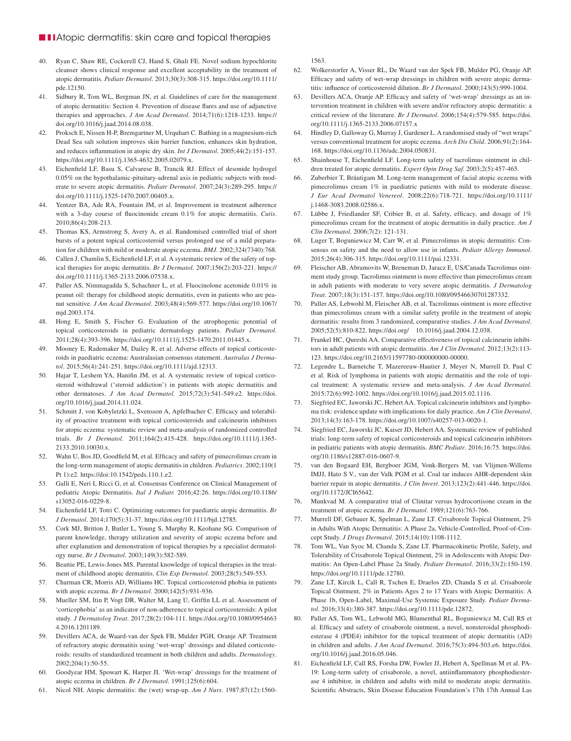#### ■ ■ ■ Atopic dermatitis: skin care and topical therapies

- 40. Ryan C, Shaw RE, Cockerell CJ, Hand S, Ghali FE. Novel sodium hypochlorite cleanser shows clinical response and excellent acceptability in the treatment of atopic dermatitis. *Pediatr Dermatol*. 2013;30(3):308-315. https://doi.org/10.1111/ pde.12150.
- 41. Sidbury R, Tom WL, Bergman JN, et al. Guidelines of care for the management of atopic dermatitis: Section 4. Prevention of disease flares and use of adjunctive therapies and approaches. *J Am Acad Dermatol*. 2014;71(6):1218-1233. https:// doi.org/10.1016/j.jaad.2014.08.038.
- 42. Proksch E, Nissen H-P, Bremgartner M, Urquhart C. Bathing in a magnesium-rich Dead Sea salt solution improves skin barrier function, enhances skin hydration, and reduces inflammation in atopic dry skin. *Int J Dermatol*. 2005;44(2):151-157. https://doi.org/10.1111/j.1365-4632.2005.02079.x.
- 43. Eichenfield LF, Basu S, Calvarese B, Trancik RJ. Effect of desonide hydrogel 0.05% on the hypothalamic-pituitary-adrenal axis in pediatric subjects with moderate to severe atopic dermatitis. *Pediatr Dermatol*. 2007;24(3):289-295. https:// doi.org/10.1111/j.1525-1470.2007.00405.x.
- 44. Yentzer BA, Ade RA, Fountain JM, et al. Improvement in treatment adherence with a 3-day course of fluocinonide cream 0.1% for atopic dermatitis. *Cutis*. 2010;86(4):208-213.
- Thomas KS, Armstrong S, Avery A, et al. Randomised controlled trial of short bursts of a potent topical corticosteroid versus prolonged use of a mild preparation for children with mild or moderate atopic eczema. *BMJ*. 2002;324(7340):768.
- 46. Callen J, Chamlin S, Eichenfield LF, et al. A systematic review of the safety of topical therapies for atopic dermatitis. *Br J Dermatol.* 2007;156(2):203-221. https:// doi.org/10.1111/j.1365-2133.2006.07538.x.
- 47. Paller AS, Nimmagadda S, Schachner L, et al. Fluocinolone acetonide 0.01% in peanut oil: therapy for childhood atopic dermatitis, even in patients who are peanut sensitive. *J Am Acad Dermatol*. 2003;48(4):569-577. https://doi.org/10.1067/ mjd.2003.174.
- 48. Hong E, Smith S, Fischer G. Evaluation of the atrophogenic potential of topical corticosteroids in pediatric dermatology patients. *Pediatr Dermatol*. 2011;28(4):393-396. https://doi.org/10.1111/j.1525-1470.2011.01445.x.
- 49. Mooney E, Rademaker M, Dailey R, et al. Adverse effects of topical corticosteroids in paediatric eczema: Australasian consensus statement. *Australas J Dermatol*. 2015;56(4):241-251. https://doi.org/10.1111/ajd.12313.
- 50. Hajar T, Leshem YA, Hanifin JM, et al. A systematic review of topical corticosteroid withdrawal ('steroid addiction') in patients with atopic dermatitis and other dermatoses. *J Am Acad Dermatol.* 2015;72(3):541-549.e2. https://doi. org/10.1016/j.jaad.2014.11.024.
- 51. Schmitt J, von Kobyletzki L, Svensson A, Apfelbacher C. Efficacy and tolerability of proactive treatment with topical corticosteroids and calcineurin inhibitors for atopic eczema: systematic review and meta-analysis of randomized controlled trials. *Br J Dermatol*. 2011;164(2):415-428. https://doi.org/10.1111/j.1365- 2133.2010.10030.x.
- 52. Wahn U, Bos JD, Goodfield M, et al. Efficacy and safety of pimecrolimus cream in the long-term management of atopic dermatitis in children. *Pediatrics*. 2002;110(1 Pt 1):e2. https://doi:10.1542/peds.110.1.e2.
- 53. Galli E, Neri I, Ricci G, et al. Consensus Conference on Clinical Management of pediatric Atopic Dermatitis. *Ital J Pediatr.* 2016;42:26. https://doi.org/10.1186/ s13052-016-0229-8.
- 54. Eichenfield LF, Totri C. Optimizing outcomes for paediatric atopic dermatitis. *Br J Dermatol*. 2014;170(5):31-37. https://doi.org/10.1111/bjd.12785.
- 55. Cork MJ, Britton J, Butler L, Young S, Murphy R, Keohane SG. Comparison of parent knowledge, therapy utilization and severity of atopic eczema before and after explanation and demonstration of topical therapies by a specialist dermatology nurse. *Br J Dermatol*. 2003;149(3):582-589.
- 56. Beattie PE, Lewis-Jones MS. Parental knowledge of topical therapies in the treatment of childhood atopic dermatitis. *Clin Exp Dermatol.* 2003;28(5):549-553.
- 57. Charman CR, Morris AD, Williams HC. Topical corticosteroid phobia in patients with atopic eczema. *Br J Dermatol*. 2000;142(5):931-936.
- 58. Mueller SM, Itin P, Vogt DR, Walter M, Lang U, Griffin LL et al. Assessment of 'corticophobia' as an indicator of non-adherence to topical corticosteroids: A pilot study. *J Dermatolog Treat*. 2017;28(2):104-111. https://doi.org/10.1080/0954663 4.2016.1201189.
- 59. Devillers ACA, de Waard-van der Spek FB, Mulder PGH, Oranje AP. Treatment of refractory atopic dermatitis using 'wet-wrap' dressings and diluted corticosteroids: results of standardized treatment in both children and adults. *Dermatology*. 2002;204(1):50-55.
- 60. Goodyear HM, Spowart K, Harper JI. 'Wet-wrap' dressings for the treatment of atopic eczema in children. *Br J Dermatol*. 1991;125(6):604.
- 61. Nicol NH. Atopic dermatitis: the (wet) wrap-up. *Am J Nurs.* 1987;87(12):1560-

1563.

- 62. Wolkerstorfer A, Visser RL, De Waard van der Spek FB, Mulder PG, Oranje AP. Efficacy and safety of wet-wrap dressings in children with severe atopic dermatitis: influence of corticosteroid dilution. *Br J Dermatol*. 2000;143(5):999-1004.
- 63. Devillers ACA, Oranje AP. Efficacy and safety of 'wet-wrap' dressings as an intervention treatment in children with severe and/or refractory atopic dermatitis: a critical review of the literature. *Br J Dermatol*. 2006;154(4):579-585. https://doi. org/10.1111/j.1365-2133.2006.07157.x
- Hindley D, Galloway G, Murray J, Gardener L. A randomised study of "wet wraps" versus conventional treatment for atopic eczema. *Arch Dis Child*. 2006;91(2):164- 168. https://doi.org/10.1136/adc.2004.050831.
- 65. Shainhouse T, Eichenfield LF. Long-term safety of tacrolimus ointment in children treated for atopic dermatitis. *Expert Opin Drug Saf.* 2003;2(5):457-465.
- 66. Zuberbier T, Bräutigam M. Long-term management of facial atopic eczema with pimecrolimus cream 1% in paediatric patients with mild to moderate disease. *J Eur Acad Dermatol Venereol*. 2008;22(6):718-721. https://doi.org/10.1111/ j.1468-3083.2008.02586.x.
- 67. Lübbe J, Friedlander SF, Cribier B, et al. Safety, efficacy, and dosage of 1% pimecrolimus cream for the treatment of atopic dermatitis in daily practice. *Am J Clin Dermatol*. 2006;7(2): 121-131.
- 68. Luger T, Boguniewicz M, Carr W, et al. Pimecrolimus in atopic dermatitis: Consensus on safety and the need to allow use in infants. *Pediatr Allergy Immunol*. 2015;26(4):306-315. https://doi.org/10.1111/pai.12331.
- 69. Fleischer AB, Abramovits W, Breneman D, Jaracz E, US/Canada Tacrolimus ointment study group. Tacrolimus ointment is more effective than pimecrolimus cream in adult patients with moderate to very severe atopic dermatitis. *J Dermatolog Treat*. 2007;18(3):151-157. https://doi.org/10.1080/09546630701287332.
- Paller AS, Lebwohl M, Fleischer AB, et al. Tacrolimus ointment is more effective than pimecrolimus cream with a similar safety profile in the treatment of atopic dermatitis: results from 3 randomized, comparative studies. *J Am Acad Dermatol*. 2005;52(5):810-822. https://doi.org/ 10.1016/j.jaad.2004.12.038.
- 71. Frankel HC, Qureshi AA. Comparative effectiveness of topical calcineurin inhibitors in adult patients with atopic dermatitis. *Am J Clin Dermatol*. 2012;13(2):113- 123. https://doi.org/10.2165/11597780-000000000-00000.
- 72. Legendre L, Barnetche T, Mazereeuw-Hautier J, Meyer N, Murrell D, Paul C et al. Risk of lymphoma in patients with atopic dermatitis and the role of topical treatment: A systematic review and meta-analysis. *J Am Acad Dermatol*. 2015;72(6):992-1002. https://doi.org/10.1016/j.jaad.2015.02.1116.
- Siegfried EC, Jaworski JC, Hebert AA. Topical calcineurin inhibitors and lymphoma risk: evidence update with implications for daily practice. *Am J Clin Dermatol*. 2013;14(3):163-178. https://doi.org/10.1007/s40257-013-0020-1.
- Siegfried EC, Jaworski JC, Kaiser JD, Hebert AA. Systematic review of published trials: long-term safety of topical corticosteroids and topical calcineurin inhibitors in pediatric patients with atopic dermatitis. *BMC Pediatr*. 2016;16:75. https://doi. org/10.1186/s12887-016-0607-9.
- 75. van den Bogaard EH, Bergboer JGM, Vonk-Bergers M, van Vlijmen-Willems IMJJ, Hato S V., van der Valk PGM et al. Coal tar induces AHR-dependent skin barrier repair in atopic dermatitis. *J Clin Invest*. 2013;123(2):441-446. https://doi. org/10.1172/JCI65642.
- 76. Munkvad M. A comparative trial of Clinitar versus hydrocortisone cream in the treatment of atopic eczema. *Br J Dermatol*. 1989;121(6):763-766.
- 77. Murrell DF, Gebauer K, Spelman L, Zane LT. Crisaborole Topical Ointment, 2% in Adults With Atopic Dermatitis: A Phase 2a, Vehicle-Controlled, Proof-of-Concept Study. *J Drugs Dermatol*. 2015;14(10):1108-1112.
- 78. Tom WL, Van Syoc M, Chanda S, Zane LT. Pharmacokinetic Profile, Safety, and Tolerability of Crisaborole Topical Ointment, 2% in Adolescents with Atopic Dermatitis: An Open-Label Phase 2a Study. *Pediatr Dermatol*. 2016;33(2):150-159. https://doi.org/10.1111/pde.12780.
- 79. Zane LT, Kircik L, Call R, Tschen E, Draelos ZD, Chanda S et al. Crisaborole Topical Ointment, 2% in Patients Ages 2 to 17 Years with Atopic Dermatitis: A Phase 1b, Open-Label, Maximal-Use Systemic Exposure Study. *Pediatr Dermatol*. 2016;33(4):380-387. https://doi.org/10.1111/pde.12872.
- 80. Paller AS, Tom WL, Lebwohl MG, Blumenthal RL, Boguniewicz M, Call RS et al. Efficacy and safety of crisaborole ointment, a novel, nonsteroidal phosphodiesterase 4 (PDE4) inhibitor for the topical treatment of atopic dermatitis (AD) in children and adults. *J Am Acad Dermatol*. 2016;75(3):494-503.e6. https://doi. org/10.1016/j.jaad.2016.05.046.
- 81. Eichenfield LF, Call RS, Forsha DW, Fowler JJ, Hebert A, Spellman M et al. PA-19: Long-term safety of crisaborole, a novel, antiinflammatory phosphodiesterase 4 inhibitor, in children and adults with mild to moderate atopic dermatitis. Scientific Abstracts, Skin Disease Education Foundation's 17th 17th Annual Las